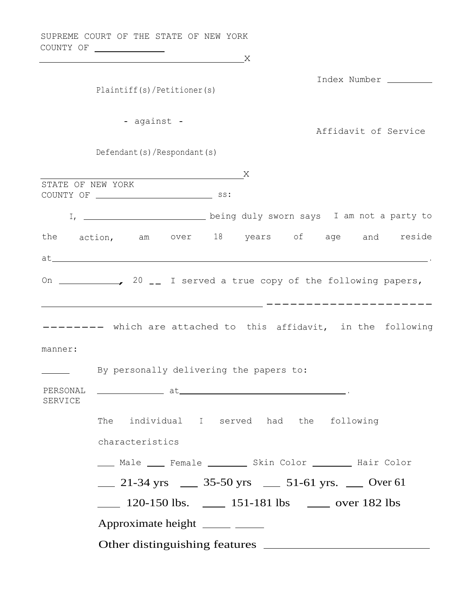COUNTY OF X Index Number Plaintiff(s)/Petitioner(s) - against -Affidavit of Service Defendant(s)/Respondant(s) <u>x</u> STATE OF NEW YORK COUNTY OF SS: I, \_\_\_\_\_\_\_\_\_\_\_\_\_\_\_\_\_\_\_\_\_\_\_\_\_\_ being duly sworn says I am not a party to the action, am over 18 years of age and reside  $at$  . The set of the set of the set of the set of the set of the set of the set of the set of the set of the set of the set of the set of the set of the set of the set of the set of the set of the set of the set of the se On  $\frac{1}{20}$  20  $\frac{1}{20}$  I served a true copy of the following papers, --------------------- -------- which are attached to this affidavit, in the following manner: By personally delivering the papers to: PERSONAL at . SERVICE The individual <sup>I</sup> served had the following characteristics \_\_\_\_ Male \_\_\_\_ Female \_\_\_\_\_\_\_\_ Skin Color \_\_\_\_\_\_\_ Hair Color  $\frac{21-34 \text{ yrs}}{35-50 \text{ yrs}}$   $\frac{51-61 \text{ yrs}}{51-61 \text{ yrs}}$  Over 61  $\frac{120-150 \text{ lbs.}}{151-181 \text{ lbs.}}$  over 182 lbs Approximate height Other distinguishing features

SUPREME COURT OF THE STATE OF NEW YORK